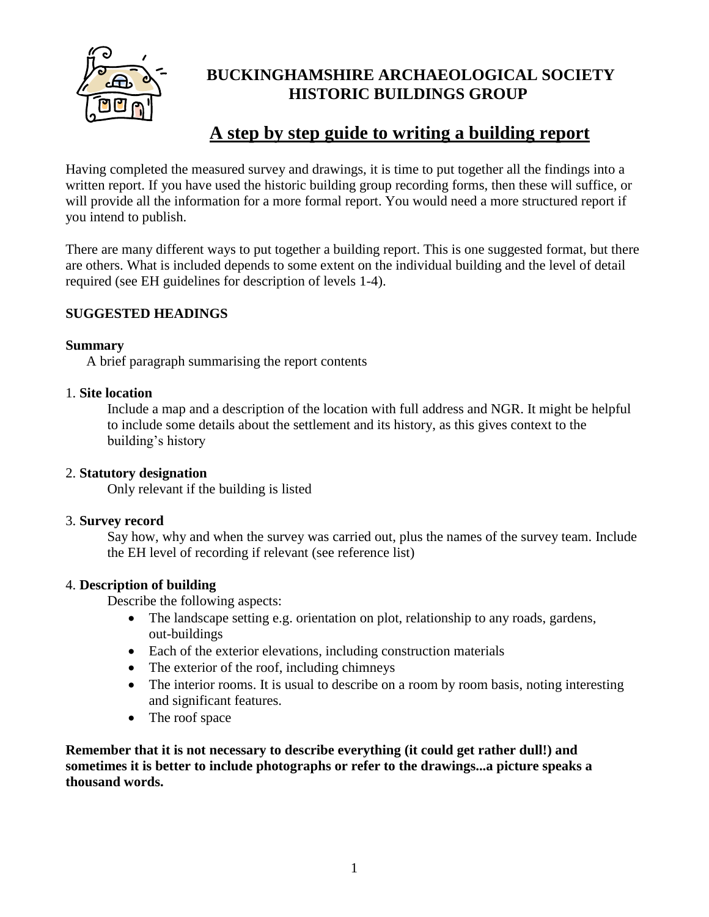

# **BUCKINGHAMSHIRE ARCHAEOLOGICAL SOCIETY HISTORIC BUILDINGS GROUP**

# **A step by step guide to writing a building report**

Having completed the measured survey and drawings, it is time to put together all the findings into a written report. If you have used the historic building group recording forms, then these will suffice, or will provide all the information for a more formal report. You would need a more structured report if you intend to publish.

There are many different ways to put together a building report. This is one suggested format, but there are others. What is included depends to some extent on the individual building and the level of detail required (see EH guidelines for description of levels 1-4).

# **SUGGESTED HEADINGS**

## **Summary**

A brief paragraph summarising the report contents

## 1. **Site location**

Include a map and a description of the location with full address and NGR. It might be helpful to include some details about the settlement and its history, as this gives context to the building's history

## 2. **Statutory designation**

Only relevant if the building is listed

#### 3. **Survey record**

Say how, why and when the survey was carried out, plus the names of the survey team. Include the EH level of recording if relevant (see reference list)

## 4. **Description of building**

Describe the following aspects:

- The landscape setting e.g. orientation on plot, relationship to any roads, gardens, out-buildings
- Each of the exterior elevations, including construction materials
- The exterior of the roof, including chimneys
- The interior rooms. It is usual to describe on a room by room basis, noting interesting and significant features.
- The roof space

**Remember that it is not necessary to describe everything (it could get rather dull!) and sometimes it is better to include photographs or refer to the drawings...a picture speaks a thousand words.**